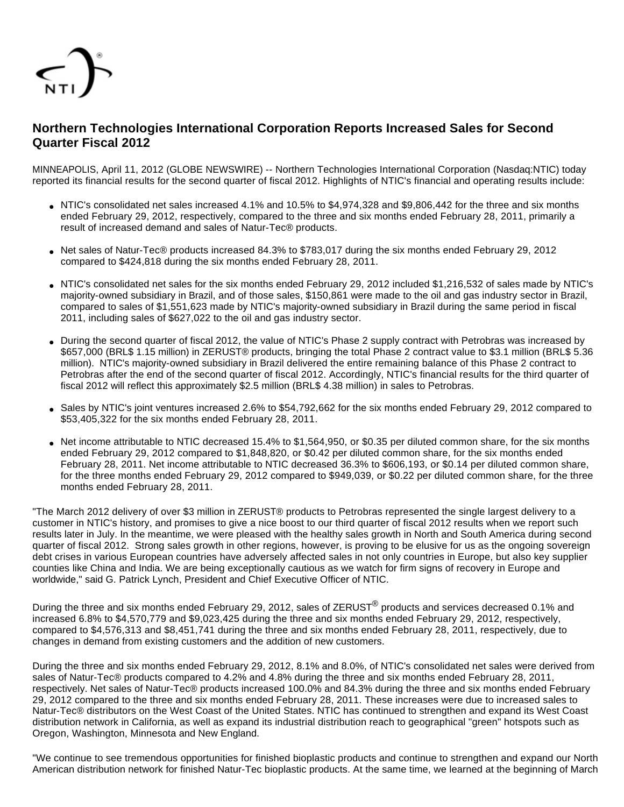

# **Northern Technologies International Corporation Reports Increased Sales for Second Quarter Fiscal 2012**

MINNEAPOLIS, April 11, 2012 (GLOBE NEWSWIRE) -- Northern Technologies International Corporation (Nasdaq:NTIC) today reported its financial results for the second quarter of fiscal 2012. Highlights of NTIC's financial and operating results include:

- NTIC's consolidated net sales increased 4.1% and 10.5% to \$4,974,328 and \$9,806,442 for the three and six months ended February 29, 2012, respectively, compared to the three and six months ended February 28, 2011, primarily a result of increased demand and sales of Natur-Tec® products.
- Net sales of Natur-Tec® products increased 84.3% to \$783,017 during the six months ended February 29, 2012 compared to \$424,818 during the six months ended February 28, 2011.
- NTIC's consolidated net sales for the six months ended February 29, 2012 included \$1,216,532 of sales made by NTIC's majority-owned subsidiary in Brazil, and of those sales, \$150,861 were made to the oil and gas industry sector in Brazil, compared to sales of \$1,551,623 made by NTIC's majority-owned subsidiary in Brazil during the same period in fiscal 2011, including sales of \$627,022 to the oil and gas industry sector.
- During the second quarter of fiscal 2012, the value of NTIC's Phase 2 supply contract with Petrobras was increased by \$657,000 (BRL\$ 1.15 million) in ZERUST® products, bringing the total Phase 2 contract value to \$3.1 million (BRL\$ 5.36 million). NTIC's majority-owned subsidiary in Brazil delivered the entire remaining balance of this Phase 2 contract to Petrobras after the end of the second quarter of fiscal 2012. Accordingly, NTIC's financial results for the third quarter of fiscal 2012 will reflect this approximately \$2.5 million (BRL\$ 4.38 million) in sales to Petrobras.
- Sales by NTIC's joint ventures increased 2.6% to \$54,792,662 for the six months ended February 29, 2012 compared to \$53,405,322 for the six months ended February 28, 2011.
- Net income attributable to NTIC decreased 15.4% to \$1,564,950, or \$0.35 per diluted common share, for the six months ended February 29, 2012 compared to \$1,848,820, or \$0.42 per diluted common share, for the six months ended February 28, 2011. Net income attributable to NTIC decreased 36.3% to \$606,193, or \$0.14 per diluted common share, for the three months ended February 29, 2012 compared to \$949,039, or \$0.22 per diluted common share, for the three months ended February 28, 2011.

"The March 2012 delivery of over \$3 million in ZERUST® products to Petrobras represented the single largest delivery to a customer in NTIC's history, and promises to give a nice boost to our third quarter of fiscal 2012 results when we report such results later in July. In the meantime, we were pleased with the healthy sales growth in North and South America during second quarter of fiscal 2012. Strong sales growth in other regions, however, is proving to be elusive for us as the ongoing sovereign debt crises in various European countries have adversely affected sales in not only countries in Europe, but also key supplier counties like China and India. We are being exceptionally cautious as we watch for firm signs of recovery in Europe and worldwide," said G. Patrick Lynch, President and Chief Executive Officer of NTIC.

During the three and six months ended February 29, 2012, sales of ZERUST<sup>®</sup> products and services decreased 0.1% and increased 6.8% to \$4,570,779 and \$9,023,425 during the three and six months ended February 29, 2012, respectively, compared to \$4,576,313 and \$8,451,741 during the three and six months ended February 28, 2011, respectively, due to changes in demand from existing customers and the addition of new customers.

During the three and six months ended February 29, 2012, 8.1% and 8.0%, of NTIC's consolidated net sales were derived from sales of Natur-Tec® products compared to 4.2% and 4.8% during the three and six months ended February 28, 2011, respectively. Net sales of Natur-Tec® products increased 100.0% and 84.3% during the three and six months ended February 29, 2012 compared to the three and six months ended February 28, 2011. These increases were due to increased sales to Natur-Tec® distributors on the West Coast of the United States. NTIC has continued to strengthen and expand its West Coast distribution network in California, as well as expand its industrial distribution reach to geographical "green" hotspots such as Oregon, Washington, Minnesota and New England.

"We continue to see tremendous opportunities for finished bioplastic products and continue to strengthen and expand our North American distribution network for finished Natur-Tec bioplastic products. At the same time, we learned at the beginning of March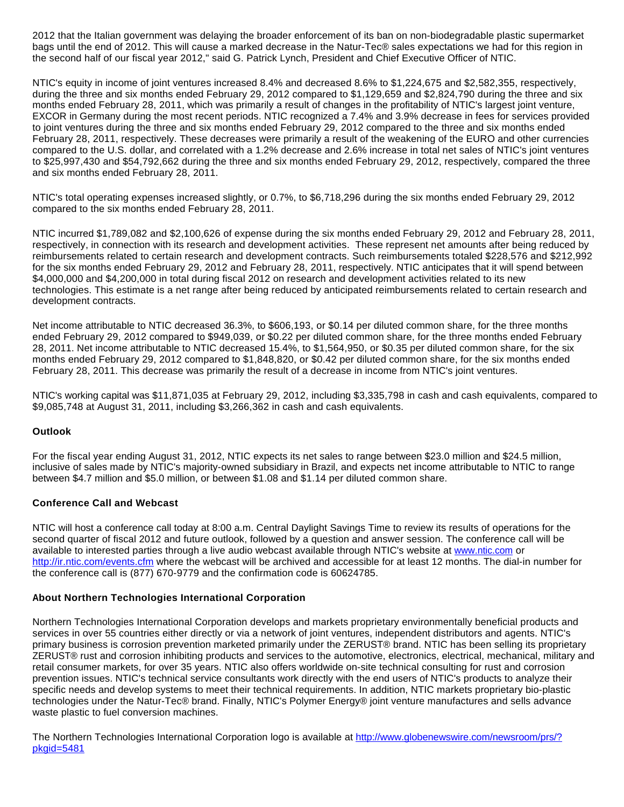2012 that the Italian government was delaying the broader enforcement of its ban on non-biodegradable plastic supermarket bags until the end of 2012. This will cause a marked decrease in the Natur-Tec® sales expectations we had for this region in the second half of our fiscal year 2012," said G. Patrick Lynch, President and Chief Executive Officer of NTIC.

NTIC's equity in income of joint ventures increased 8.4% and decreased 8.6% to \$1,224,675 and \$2,582,355, respectively, during the three and six months ended February 29, 2012 compared to \$1,129,659 and \$2,824,790 during the three and six months ended February 28, 2011, which was primarily a result of changes in the profitability of NTIC's largest joint venture, EXCOR in Germany during the most recent periods. NTIC recognized a 7.4% and 3.9% decrease in fees for services provided to joint ventures during the three and six months ended February 29, 2012 compared to the three and six months ended February 28, 2011, respectively. These decreases were primarily a result of the weakening of the EURO and other currencies compared to the U.S. dollar, and correlated with a 1.2% decrease and 2.6% increase in total net sales of NTIC's joint ventures to \$25,997,430 and \$54,792,662 during the three and six months ended February 29, 2012, respectively, compared the three and six months ended February 28, 2011.

NTIC's total operating expenses increased slightly, or 0.7%, to \$6,718,296 during the six months ended February 29, 2012 compared to the six months ended February 28, 2011.

NTIC incurred \$1,789,082 and \$2,100,626 of expense during the six months ended February 29, 2012 and February 28, 2011, respectively, in connection with its research and development activities. These represent net amounts after being reduced by reimbursements related to certain research and development contracts. Such reimbursements totaled \$228,576 and \$212,992 for the six months ended February 29, 2012 and February 28, 2011, respectively. NTIC anticipates that it will spend between \$4,000,000 and \$4,200,000 in total during fiscal 2012 on research and development activities related to its new technologies. This estimate is a net range after being reduced by anticipated reimbursements related to certain research and development contracts.

Net income attributable to NTIC decreased 36.3%, to \$606,193, or \$0.14 per diluted common share, for the three months ended February 29, 2012 compared to \$949,039, or \$0.22 per diluted common share, for the three months ended February 28, 2011. Net income attributable to NTIC decreased 15.4%, to \$1,564,950, or \$0.35 per diluted common share, for the six months ended February 29, 2012 compared to \$1,848,820, or \$0.42 per diluted common share, for the six months ended February 28, 2011. This decrease was primarily the result of a decrease in income from NTIC's joint ventures.

NTIC's working capital was \$11,871,035 at February 29, 2012, including \$3,335,798 in cash and cash equivalents, compared to \$9,085,748 at August 31, 2011, including \$3,266,362 in cash and cash equivalents.

## **Outlook**

For the fiscal year ending August 31, 2012, NTIC expects its net sales to range between \$23.0 million and \$24.5 million, inclusive of sales made by NTIC's majority-owned subsidiary in Brazil, and expects net income attributable to NTIC to range between \$4.7 million and \$5.0 million, or between \$1.08 and \$1.14 per diluted common share.

## **Conference Call and Webcast**

NTIC will host a conference call today at 8:00 a.m. Central Daylight Savings Time to review its results of operations for the second quarter of fiscal 2012 and future outlook, followed by a question and answer session. The conference call will be available to interested parties through a live audio webcast available through NTIC's website at [www.ntic.com](http://www.globenewswire.com/newsroom/ctr?d=251664&l=14&a=www.ntic.com&u=http%3A%2F%2Fwww.ntic.com) or [http://ir.ntic.com/events.cfm](http://www.globenewswire.com/newsroom/ctr?d=251664&l=14&u=http%3A%2F%2Fir.ntic.com%2Fevents.cfm) where the webcast will be archived and accessible for at least 12 months. The dial-in number for the conference call is (877) 670-9779 and the confirmation code is 60624785.

## **About Northern Technologies International Corporation**

Northern Technologies International Corporation develops and markets proprietary environmentally beneficial products and services in over 55 countries either directly or via a network of joint ventures, independent distributors and agents. NTIC's primary business is corrosion prevention marketed primarily under the ZERUST® brand. NTIC has been selling its proprietary ZERUST® rust and corrosion inhibiting products and services to the automotive, electronics, electrical, mechanical, military and retail consumer markets, for over 35 years. NTIC also offers worldwide on-site technical consulting for rust and corrosion prevention issues. NTIC's technical service consultants work directly with the end users of NTIC's products to analyze their specific needs and develop systems to meet their technical requirements. In addition, NTIC markets proprietary bio-plastic technologies under the Natur-Tec® brand. Finally, NTIC's Polymer Energy® joint venture manufactures and sells advance waste plastic to fuel conversion machines.

The Northern Technologies International Corporation logo is available at [http://www.globenewswire.com/newsroom/prs/?](http://www.globenewswire.com/newsroom/prs/?pkgid=5481) [pkgid=5481](http://www.globenewswire.com/newsroom/prs/?pkgid=5481)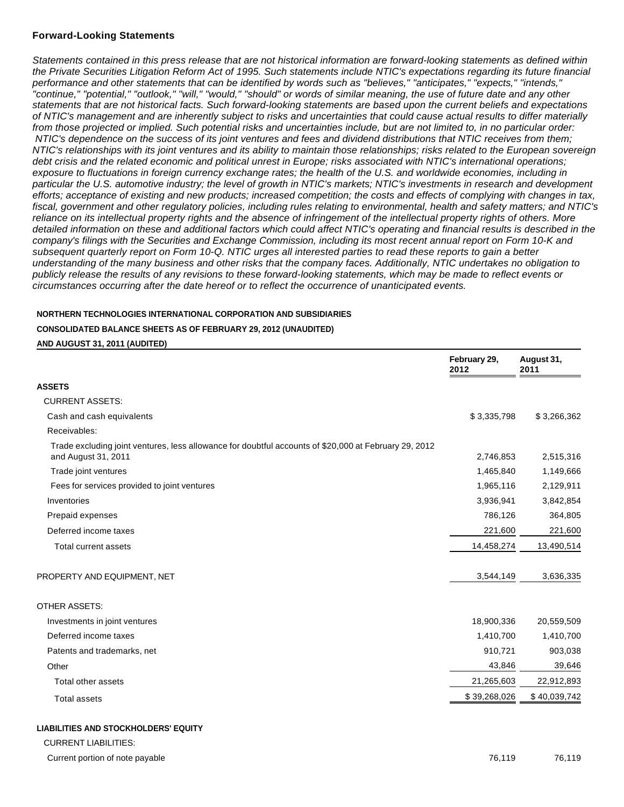### **Forward-Looking Statements**

Statements contained in this press release that are not historical information are forward-looking statements as defined within the Private Securities Litigation Reform Act of 1995. Such statements include NTIC's expectations regarding its future financial performance and other statements that can be identified by words such as "believes," "anticipates," "expects," "intends," "continue," "potential," "outlook," "will," "would," "should" or words of similar meaning, the use of future date and any other statements that are not historical facts. Such forward-looking statements are based upon the current beliefs and expectations of NTIC's management and are inherently subject to risks and uncertainties that could cause actual results to differ materially from those projected or implied. Such potential risks and uncertainties include, but are not limited to, in no particular order: NTIC's dependence on the success of its joint ventures and fees and dividend distributions that NTIC receives from them; NTIC's relationships with its joint ventures and its ability to maintain those relationships; risks related to the European sovereign debt crisis and the related economic and political unrest in Europe; risks associated with NTIC's international operations; exposure to fluctuations in foreign currency exchange rates; the health of the U.S. and worldwide economies, including in particular the U.S. automotive industry; the level of growth in NTIC's markets; NTIC's investments in research and development efforts; acceptance of existing and new products; increased competition; the costs and effects of complying with changes in tax, fiscal, government and other regulatory policies, including rules relating to environmental, health and safety matters; and NTIC's reliance on its intellectual property rights and the absence of infringement of the intellectual property rights of others. More detailed information on these and additional factors which could affect NTIC's operating and financial results is described in the company's filings with the Securities and Exchange Commission, including its most recent annual report on Form 10-K and subsequent quarterly report on Form 10-Q. NTIC urges all interested parties to read these reports to gain a better understanding of the many business and other risks that the company faces. Additionally, NTIC undertakes no obligation to publicly release the results of any revisions to these forward-looking statements, which may be made to reflect events or circumstances occurring after the date hereof or to reflect the occurrence of unanticipated events.

### **NORTHERN TECHNOLOGIES INTERNATIONAL CORPORATION AND SUBSIDIARIES**

#### **CONSOLIDATED BALANCE SHEETS AS OF FEBRUARY 29, 2012 (UNAUDITED)**

#### **AND AUGUST 31, 2011 (AUDITED)**

|                                                                                                                              | February 29,<br>2012 | August 31,<br>2011 |
|------------------------------------------------------------------------------------------------------------------------------|----------------------|--------------------|
| <b>ASSETS</b>                                                                                                                |                      |                    |
| <b>CURRENT ASSETS:</b>                                                                                                       |                      |                    |
| Cash and cash equivalents                                                                                                    | \$3,335,798          | \$3,266,362        |
| Receivables:                                                                                                                 |                      |                    |
| Trade excluding joint ventures, less allowance for doubtful accounts of \$20,000 at February 29, 2012<br>and August 31, 2011 | 2,746,853            | 2,515,316          |
| Trade joint ventures                                                                                                         | 1,465,840            | 1,149,666          |
| Fees for services provided to joint ventures                                                                                 | 1,965,116            | 2,129,911          |
| Inventories                                                                                                                  | 3,936,941            | 3,842,854          |
| Prepaid expenses                                                                                                             | 786,126              | 364,805            |
| Deferred income taxes                                                                                                        | 221,600              | 221,600            |
| <b>Total current assets</b>                                                                                                  | 14,458,274           | 13,490,514         |
| PROPERTY AND EQUIPMENT, NET                                                                                                  | 3,544,149            | 3,636,335          |
| <b>OTHER ASSETS:</b>                                                                                                         |                      |                    |
| Investments in joint ventures                                                                                                | 18,900,336           | 20,559,509         |
| Deferred income taxes                                                                                                        | 1,410,700            | 1,410,700          |
| Patents and trademarks, net                                                                                                  | 910,721              | 903,038            |
| Other                                                                                                                        | 43,846               | 39,646             |
| Total other assets                                                                                                           | 21,265,603           | 22,912,893         |
| <b>Total assets</b>                                                                                                          | \$39,268,026         | \$40,039,742       |
| <b>LIABILITIES AND STOCKHOLDERS' EQUITY</b><br><b>CURRENT LIABILITIES:</b>                                                   |                      |                    |

Current portion of note payable 76,119 76,119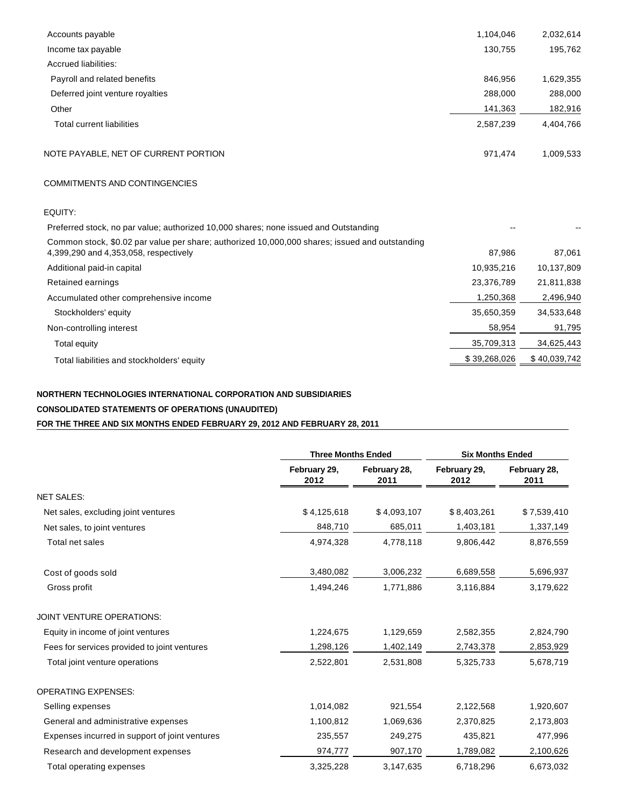| 1,104,046  | 2,032,614  |
|------------|------------|
| 130,755    | 195,762    |
|            |            |
| 846,956    | 1,629,355  |
| 288,000    | 288,000    |
| 141,363    | 182,916    |
| 2,587,239  | 4,404,766  |
| 971,474    | 1,009,533  |
|            |            |
|            |            |
|            |            |
| 87,986     | 87,061     |
| 10,935,216 | 10,137,809 |
| 23,376,789 | 21,811,838 |
|            |            |

Accumulated other comprehensive income 1,250,368 2,496,940 Stockholders' equity 35,650,359 34,533,648 Non-controlling interest 81,795 Total equity 35,709,313 34,625,443 Total liabilities and stockholders' equity and the state of the state of the state of the state of the state of the state of the state of the state of the state of the state of the state of the state of the state of the st

## **NORTHERN TECHNOLOGIES INTERNATIONAL CORPORATION AND SUBSIDIARIES**

## **CONSOLIDATED STATEMENTS OF OPERATIONS (UNAUDITED)**

# **FOR THE THREE AND SIX MONTHS ENDED FEBRUARY 29, 2012 AND FEBRUARY 28, 2011**

|                                                | <b>Three Months Ended</b> |                      | <b>Six Months Ended</b> |                      |
|------------------------------------------------|---------------------------|----------------------|-------------------------|----------------------|
|                                                | February 29,<br>2012      | February 28,<br>2011 | February 29,<br>2012    | February 28,<br>2011 |
| <b>NET SALES:</b>                              |                           |                      |                         |                      |
| Net sales, excluding joint ventures            | \$4,125,618               | \$4,093,107          | \$8,403,261             | \$7,539,410          |
| Net sales, to joint ventures                   | 848,710                   | 685,011              | 1,403,181               | 1,337,149            |
| Total net sales                                | 4,974,328                 | 4,778,118            | 9,806,442               | 8,876,559            |
| Cost of goods sold                             | 3,480,082                 | 3,006,232            | 6,689,558               | 5,696,937            |
| Gross profit                                   | 1,494,246                 | 1,771,886            | 3,116,884               | 3,179,622            |
| <b>JOINT VENTURE OPERATIONS:</b>               |                           |                      |                         |                      |
| Equity in income of joint ventures             | 1,224,675                 | 1,129,659            | 2,582,355               | 2,824,790            |
| Fees for services provided to joint ventures   | 1,298,126                 | 1,402,149            | 2,743,378               | 2,853,929            |
| Total joint venture operations                 | 2,522,801                 | 2,531,808            | 5,325,733               | 5,678,719            |
| <b>OPERATING EXPENSES:</b>                     |                           |                      |                         |                      |
| Selling expenses                               | 1,014,082                 | 921,554              | 2,122,568               | 1,920,607            |
| General and administrative expenses            | 1,100,812                 | 1,069,636            | 2,370,825               | 2,173,803            |
| Expenses incurred in support of joint ventures | 235,557                   | 249,275              | 435,821                 | 477,996              |
| Research and development expenses              | 974,777                   | 907,170              | 1,789,082               | 2,100,626            |
| Total operating expenses                       | 3,325,228                 | 3,147,635            | 6,718,296               | 6,673,032            |